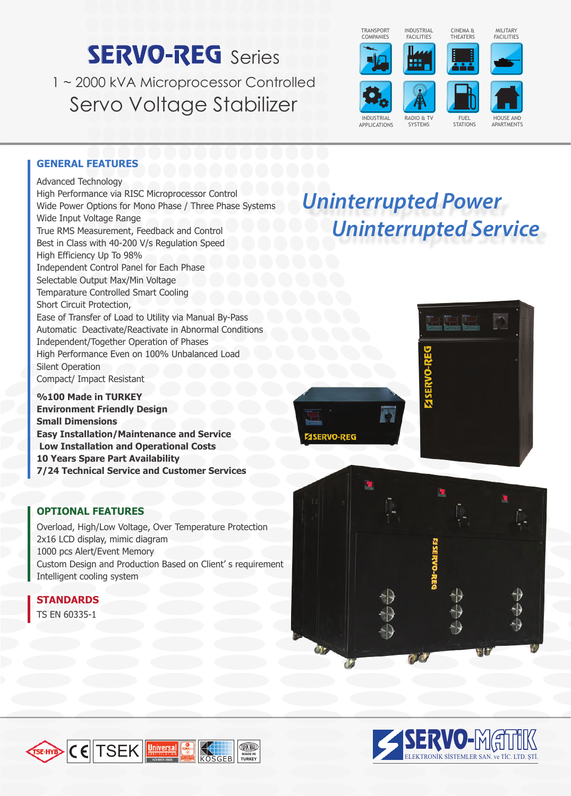# **SERVO-REG** Series

1 ~ 2000 kVA Microprocessor Controlled Servo Voltage Stabilizer



*Uninterrupted Power*

 *Uninterrupted Service*



MILITARY FACILITIES

#### **GENERAL FEATURES**

Advanced Technology High Performance via RISC Microprocessor Control Wide Power Options for Mono Phase / Three Phase Systems Wide Input Voltage Range True RMS Measurement, Feedback and Control Best in Class with 40-200 V/s Regulation Speed High Efficiency Up To 98% Independent Control Panel for Each Phase Selectable Output Max/Min Voltage Temparature Controlled Smart Cooling Short Circuit Protection, Ease of Transfer of Load to Utility via Manual By-Pass Automatic Deactivate/Reactivate in Abnormal Conditions Independent/Together Operation of Phases High Performance Even on 100% Unbalanced Load Silent Operation Compact/ Impact Resistant

**%100 Made in TURKEY Environment Friendly Design Small Dimensions Easy Installation/Maintenance and Service Low Installation and Operational Costs 10 Years Spare Part Availability 7/24 Technical Service and Customer Services**

### **OPTIONAL FEATURES**

Overload, High/Low Voltage, Over Temperature Protection 2x16 LCD display, mimic diagram 1000 pcs Alert/Event Memory Custom Design and Production Based on Client' s requirement Intelligent cooling system

# **STANDARDS**

TS EN 60335-1